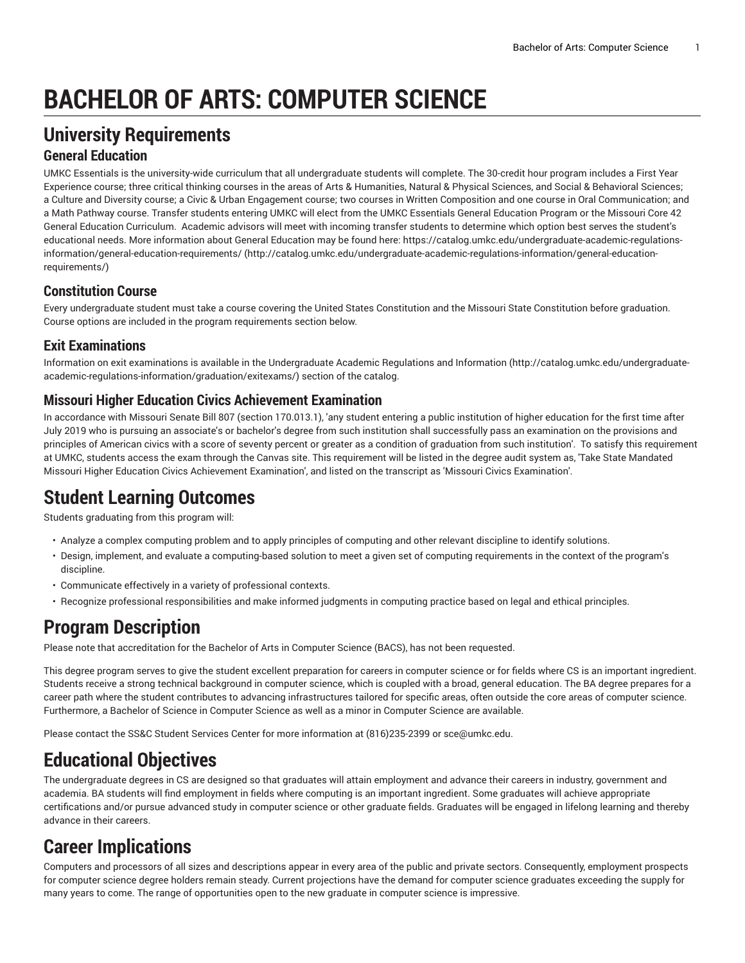# **BACHELOR OF ARTS: COMPUTER SCIENCE**

## **University Requirements**

#### **General Education**

UMKC Essentials is the university-wide curriculum that all undergraduate students will complete. The 30-credit hour program includes a First Year Experience course; three critical thinking courses in the areas of Arts & Humanities, Natural & Physical Sciences, and Social & Behavioral Sciences; a Culture and Diversity course; a Civic & Urban Engagement course; two courses in Written Composition and one course in Oral Communication; and a Math Pathway course. Transfer students entering UMKC will elect from the UMKC Essentials General Education Program or the Missouri Core 42 General Education Curriculum. Academic advisors will meet with incoming transfer students to determine which option best serves the student's educational needs. More information about General Education may be found here: [https://catalog.umkc.edu/undergraduate-academic-regulations](http://catalog.umkc.edu/undergraduate-academic-regulations-information/general-education-requirements/)[information/general-education-requirements/](http://catalog.umkc.edu/undergraduate-academic-regulations-information/general-education-requirements/) ([http://catalog.umkc.edu/undergraduate-academic-regulations-information/general-education](http://catalog.umkc.edu/undergraduate-academic-regulations-information/general-education-requirements/)[requirements/\)](http://catalog.umkc.edu/undergraduate-academic-regulations-information/general-education-requirements/)

#### **Constitution Course**

Every undergraduate student must take a course covering the United States Constitution and the Missouri State Constitution before graduation. Course options are included in the program requirements section below.

#### **Exit Examinations**

Information on exit examinations is available in the [Undergraduate](http://catalog.umkc.edu/undergraduate-academic-regulations-information/graduation/exitexams/) Academic Regulations and Information [\(http://catalog.umkc.edu/undergraduate](http://catalog.umkc.edu/undergraduate-academic-regulations-information/graduation/exitexams/)[academic-regulations-information/graduation/exitexams/](http://catalog.umkc.edu/undergraduate-academic-regulations-information/graduation/exitexams/)) section of the catalog.

#### **Missouri Higher Education Civics Achievement Examination**

In accordance with Missouri Senate Bill 807 (section 170.013.1), 'any student entering a public institution of higher education for the first time after July 2019 who is pursuing an associate's or bachelor's degree from such institution shall successfully pass an examination on the provisions and principles of American civics with a score of seventy percent or greater as a condition of graduation from such institution'. To satisfy this requirement at UMKC, students access the exam through the Canvas site. This requirement will be listed in the degree audit system as, 'Take State Mandated Missouri Higher Education Civics Achievement Examination', and listed on the transcript as 'Missouri Civics Examination'.

### **Student Learning Outcomes**

Students graduating from this program will:

- Analyze a complex computing problem and to apply principles of computing and other relevant discipline to identify solutions.
- Design, implement, and evaluate a computing-based solution to meet a given set of computing requirements in the context of the program's discipline.
- Communicate effectively in a variety of professional contexts.
- Recognize professional responsibilities and make informed judgments in computing practice based on legal and ethical principles.

# **Program Description**

Please note that accreditation for the Bachelor of Arts in Computer Science (BACS), has not been requested.

This degree program serves to give the student excellent preparation for careers in computer science or for fields where CS is an important ingredient. Students receive a strong technical background in computer science, which is coupled with a broad, general education. The BA degree prepares for a career path where the student contributes to advancing infrastructures tailored for specific areas, often outside the core areas of computer science. Furthermore, a Bachelor of Science in Computer Science as well as a minor in Computer Science are available.

Please contact the SS&C Student Services Center for more information at (816)235-2399 or [sce@umkc.edu.](mailto:sce@umkc.edu)

# **Educational Objectives**

The undergraduate degrees in CS are designed so that graduates will attain employment and advance their careers in industry, government and academia. BA students will find employment in fields where computing is an important ingredient. Some graduates will achieve appropriate certifications and/or pursue advanced study in computer science or other graduate fields. Graduates will be engaged in lifelong learning and thereby advance in their careers.

# **Career Implications**

Computers and processors of all sizes and descriptions appear in every area of the public and private sectors. Consequently, employment prospects for computer science degree holders remain steady. Current projections have the demand for computer science graduates exceeding the supply for many years to come. The range of opportunities open to the new graduate in computer science is impressive.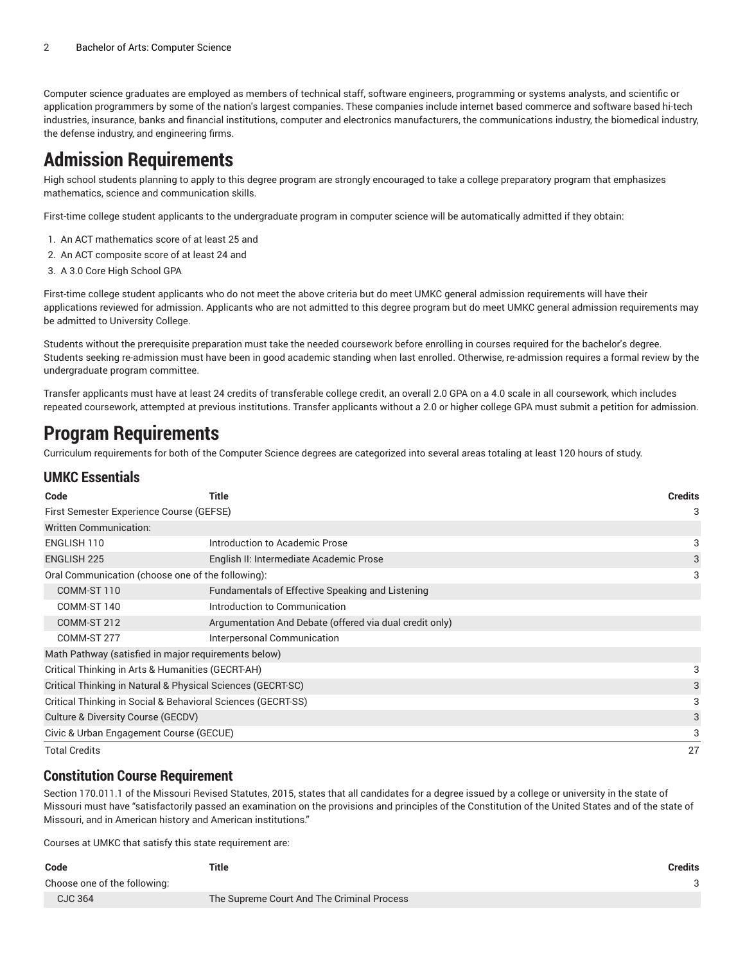Computer science graduates are employed as members of technical staff, software engineers, programming or systems analysts, and scientific or application programmers by some of the nation's largest companies. These companies include internet based commerce and software based hi-tech industries, insurance, banks and financial institutions, computer and electronics manufacturers, the communications industry, the biomedical industry, the defense industry, and engineering firms.

### **Admission Requirements**

High school students planning to apply to this degree program are strongly encouraged to take a college preparatory program that emphasizes mathematics, science and communication skills.

First-time college student applicants to the undergraduate program in computer science will be automatically admitted if they obtain:

- 1. An ACT mathematics score of at least 25 and
- 2. An ACT composite score of at least 24 and
- 3. A 3.0 Core High School GPA

First-time college student applicants who do not meet the above criteria but do meet UMKC general admission requirements will have their applications reviewed for admission. Applicants who are not admitted to this degree program but do meet UMKC general admission requirements may be admitted to University College.

Students without the prerequisite preparation must take the needed coursework before enrolling in courses required for the bachelor's degree. Students seeking re-admission must have been in good academic standing when last enrolled. Otherwise, re-admission requires a formal review by the undergraduate program committee.

Transfer applicants must have at least 24 credits of transferable college credit, an overall 2.0 GPA on a 4.0 scale in all coursework, which includes repeated coursework, attempted at previous institutions. Transfer applicants without a 2.0 or higher college GPA must submit a petition for admission.

### **Program Requirements**

Curriculum requirements for both of the Computer Science degrees are categorized into several areas totaling at least 120 hours of study.

#### **UMKC Essentials**

| Code                                                          | Title                                                   | Credits |  |
|---------------------------------------------------------------|---------------------------------------------------------|---------|--|
| First Semester Experience Course (GEFSE)                      |                                                         |         |  |
| <b>Written Communication:</b>                                 |                                                         |         |  |
| ENGLISH 110                                                   | Introduction to Academic Prose                          | 3       |  |
| <b>ENGLISH 225</b><br>English II: Intermediate Academic Prose |                                                         |         |  |
| Oral Communication (choose one of the following):             |                                                         | 3       |  |
| COMM-ST 110                                                   | Fundamentals of Effective Speaking and Listening        |         |  |
| COMM-ST 140                                                   | Introduction to Communication                           |         |  |
| COMM-ST 212                                                   | Argumentation And Debate (offered via dual credit only) |         |  |
| COMM-ST 277<br>Interpersonal Communication                    |                                                         |         |  |
| Math Pathway (satisfied in major requirements below)          |                                                         |         |  |
| Critical Thinking in Arts & Humanities (GECRT-AH)             |                                                         |         |  |
| Critical Thinking in Natural & Physical Sciences (GECRT-SC)   |                                                         |         |  |
| Critical Thinking in Social & Behavioral Sciences (GECRT-SS)  |                                                         |         |  |
| Culture & Diversity Course (GECDV)                            |                                                         |         |  |
| Civic & Urban Engagement Course (GECUE)                       |                                                         |         |  |
| <b>Total Credits</b>                                          |                                                         | 27      |  |

#### **Constitution Course Requirement**

Section 170.011.1 of the Missouri Revised Statutes, 2015, states that all candidates for a degree issued by a college or university in the state of Missouri must have "satisfactorily passed an examination on the provisions and principles of the Constitution of the United States and of the state of Missouri, and in American history and American institutions."

Courses at UMKC that satisfy this state requirement are:

| Code                         | Title                                      | Credits |
|------------------------------|--------------------------------------------|---------|
| Choose one of the following: |                                            |         |
| CJC 364                      | The Supreme Court And The Criminal Process |         |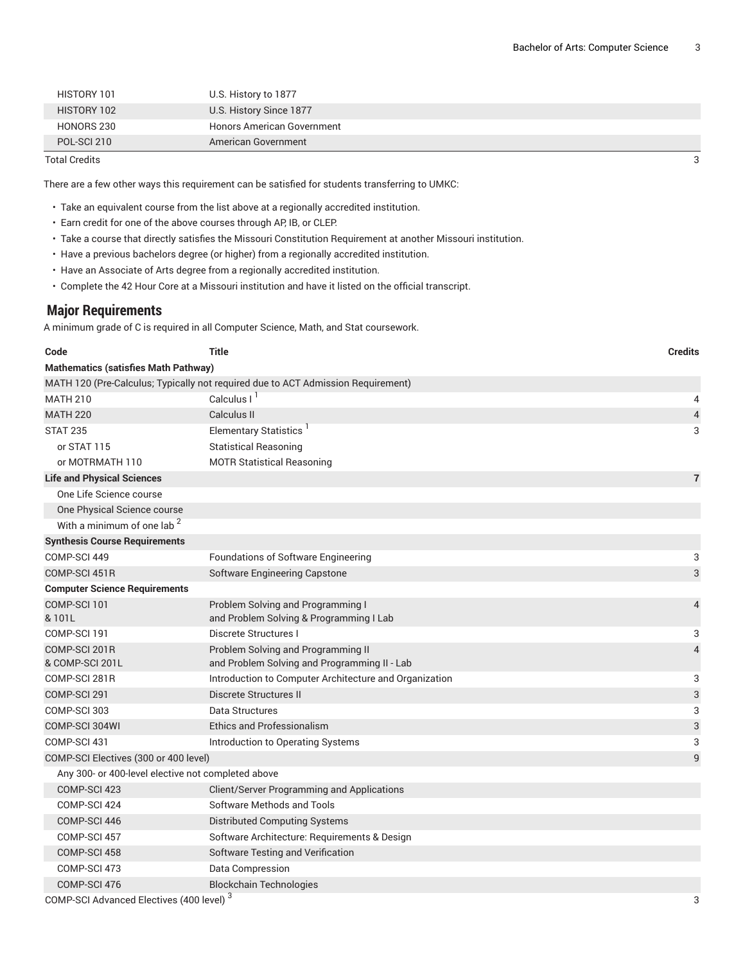| <b>Total Credits</b> |                                   | 3 |
|----------------------|-----------------------------------|---|
| POL-SCI 210          | American Government               |   |
| HONORS 230           | <b>Honors American Government</b> |   |
| HISTORY 102          | U.S. History Since 1877           |   |
| HISTORY 101          | U.S. History to 1877              |   |

There are a few other ways this requirement can be satisfied for students transferring to UMKC:

- Take an equivalent course from the list above at a regionally accredited institution.
- Earn credit for one of the above courses through AP, IB, or CLEP.
- Take a course that directly satisfies the Missouri Constitution Requirement at another Missouri institution.
- Have a previous bachelors degree (or higher) from a regionally accredited institution.
- Have an Associate of Arts degree from a regionally accredited institution.
- Complete the 42 Hour Core at a Missouri institution and have it listed on the official transcript.

#### **Major Requirements**

A minimum grade of C is required in all Computer Science, Math, and Stat coursework.

| Code                                                      | <b>Title</b>                                                                     | <b>Credits</b>            |  |
|-----------------------------------------------------------|----------------------------------------------------------------------------------|---------------------------|--|
| <b>Mathematics (satisfies Math Pathway)</b>               |                                                                                  |                           |  |
|                                                           | MATH 120 (Pre-Calculus; Typically not required due to ACT Admission Requirement) |                           |  |
| <b>MATH 210</b>                                           | Calculus I <sup>1</sup>                                                          | 4                         |  |
| <b>MATH 220</b>                                           | Calculus II                                                                      | $\overline{\mathcal{L}}$  |  |
| <b>STAT 235</b>                                           | Elementary Statistics <sup>1</sup>                                               | 3                         |  |
| or STAT 115                                               | <b>Statistical Reasoning</b>                                                     |                           |  |
| or MOTRMATH 110                                           | <b>MOTR Statistical Reasoning</b>                                                |                           |  |
| <b>Life and Physical Sciences</b>                         |                                                                                  | $\overline{7}$            |  |
| One Life Science course                                   |                                                                                  |                           |  |
| One Physical Science course                               |                                                                                  |                           |  |
| With a minimum of one lab <sup>2</sup>                    |                                                                                  |                           |  |
| <b>Synthesis Course Requirements</b>                      |                                                                                  |                           |  |
| COMP-SCI 449                                              | Foundations of Software Engineering                                              | 3                         |  |
| COMP-SCI 451R                                             | Software Engineering Capstone                                                    | $\sqrt{3}$                |  |
| <b>Computer Science Requirements</b>                      |                                                                                  |                           |  |
| COMP-SCI 101                                              | Problem Solving and Programming I                                                | $\overline{4}$            |  |
| &101L                                                     | and Problem Solving & Programming I Lab                                          |                           |  |
| COMP-SCI 191                                              | Discrete Structures I                                                            | 3                         |  |
| COMP-SCI 201R                                             | Problem Solving and Programming II                                               | $\overline{4}$            |  |
| & COMP-SCI 201L                                           | and Problem Solving and Programming II - Lab                                     |                           |  |
| COMP-SCI 281R                                             | Introduction to Computer Architecture and Organization                           | 3                         |  |
| COMP-SCI 291                                              | Discrete Structures II                                                           | $\ensuremath{\mathsf{3}}$ |  |
| COMP-SCI 303                                              | Data Structures                                                                  | 3                         |  |
| COMP-SCI 304WI                                            | <b>Ethics and Professionalism</b>                                                | $\ensuremath{\mathsf{3}}$ |  |
| COMP-SCI 431                                              | Introduction to Operating Systems                                                | 3                         |  |
| COMP-SCI Electives (300 or 400 level)                     |                                                                                  | 9                         |  |
| Any 300- or 400-level elective not completed above        |                                                                                  |                           |  |
| COMP-SCI 423                                              | <b>Client/Server Programming and Applications</b>                                |                           |  |
| COMP-SCI 424                                              | Software Methods and Tools                                                       |                           |  |
| COMP-SCI 446                                              | <b>Distributed Computing Systems</b>                                             |                           |  |
| COMP-SCI 457                                              | Software Architecture: Requirements & Design                                     |                           |  |
| COMP-SCI 458                                              | Software Testing and Verification                                                |                           |  |
| COMP-SCI 473                                              | Data Compression                                                                 |                           |  |
| COMP-SCI 476                                              | <b>Blockchain Technologies</b>                                                   |                           |  |
| COMP-SCI Advanced Electives (400 level) <sup>3</sup><br>3 |                                                                                  |                           |  |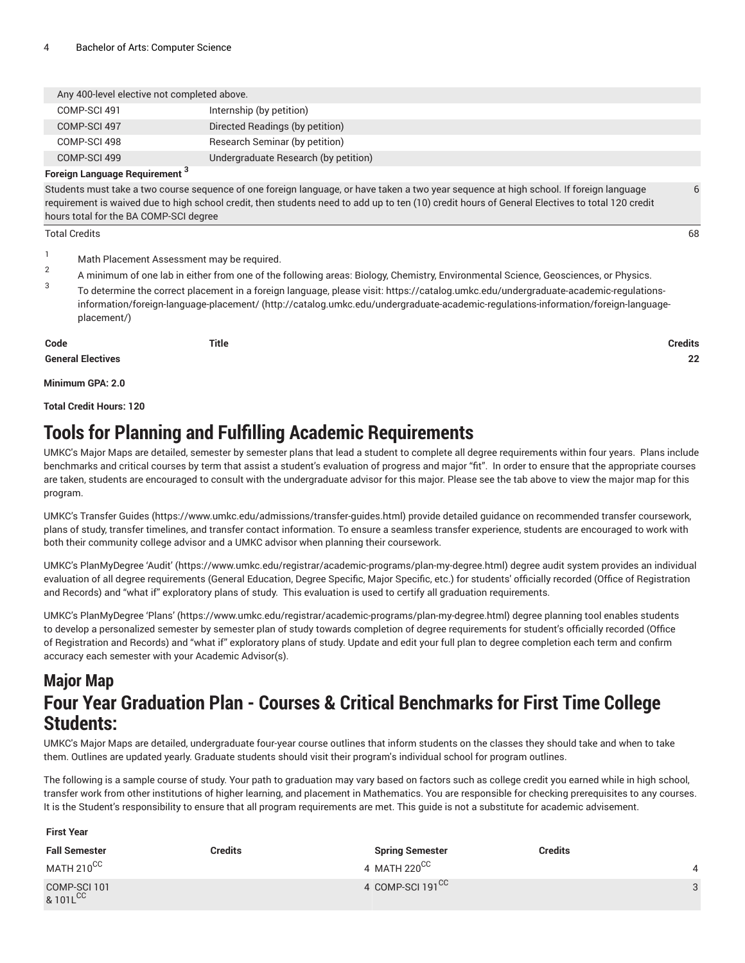| Any 400-level elective not completed above. |                                      |  |  |
|---------------------------------------------|--------------------------------------|--|--|
| COMP-SCI 491                                | Internship (by petition)             |  |  |
| COMP-SCI 497                                | Directed Readings (by petition)      |  |  |
| COMP-SCI 498                                | Research Seminar (by petition)       |  |  |
| COMP-SCI 499                                | Undergraduate Research (by petition) |  |  |

#### **Foreign Language Requirement 3**

Students must take a two course sequence of one foreign language, or have taken a two year sequence at high school. If foreign language requirement is waived due to high school credit, then students need to add up to ten (10) credit hours of General Electives to total 120 credit hours total for the BA COMP-SCI degree

#### Total Credits 68

- <sup>1</sup> Math Placement Assessment may be required.
- 2 A minimum of one lab in either from one of the following areas: Biology, Chemistry, Environmental Science, Geosciences, or Physics.
- 3 To determine the correct placement in a foreign language, please visit: [https://catalog.umkc.edu/undergraduate-academic-regulations](http://catalog.umkc.edu/undergraduate-academic-regulations-information/foreign-language-placement/)[information/foreign-language-placement/](http://catalog.umkc.edu/undergraduate-academic-regulations-information/foreign-language-placement/) ([http://catalog.umkc.edu/undergraduate-academic-regulations-information/foreign-language](http://catalog.umkc.edu/undergraduate-academic-regulations-information/foreign-language-placement/)[placement/](http://catalog.umkc.edu/undergraduate-academic-regulations-information/foreign-language-placement/))

**Code Title Credits**

**General Electives 22**

**Minimum GPA: 2.0**

**Total Credit Hours: 120**

### **Tools for Planning and Fulfilling Academic Requirements**

UMKC's Major Maps are detailed, semester by semester plans that lead a student to complete all degree requirements within four years. Plans include benchmarks and critical courses by term that assist a student's evaluation of progress and major "fit". In order to ensure that the appropriate courses are taken, students are encouraged to consult with the undergraduate advisor for this major. Please see the tab above to view the major map for this program.

UMKC's [Transfer](https://www.umkc.edu/admissions/transfer-guides.html) Guides [\(https://www.umkc.edu/admissions/transfer-guides.html](https://www.umkc.edu/admissions/transfer-guides.html)) provide detailed guidance on recommended transfer coursework, plans of study, transfer timelines, and transfer contact information. To ensure a seamless transfer experience, students are encouraged to work with both their community college advisor and a UMKC advisor when planning their coursework.

UMKC's [PlanMyDegree](https://www.umkc.edu/registrar/academic-programs/plan-my-degree.html) 'Audit' ([https://www.umkc.edu/registrar/academic-programs/plan-my-degree.html\)](https://www.umkc.edu/registrar/academic-programs/plan-my-degree.html) degree audit system provides an individual evaluation of all degree requirements (General Education, Degree Specific, Major Specific, etc.) for students' officially recorded (Office of Registration and Records) and "what if" exploratory plans of study. This evaluation is used to certify all graduation requirements.

UMKC's [PlanMyDegree](https://www.umkc.edu/registrar/academic-programs/plan-my-degree.html) 'Plans' [\(https://www.umkc.edu/registrar/academic-programs/plan-my-degree.html\)](https://www.umkc.edu/registrar/academic-programs/plan-my-degree.html) degree planning tool enables students to develop a personalized semester by semester plan of study towards completion of degree requirements for student's officially recorded (Office of Registration and Records) and "what if" exploratory plans of study. Update and edit your full plan to degree completion each term and confirm accuracy each semester with your Academic Advisor(s).

### **Major Map Four Year Graduation Plan - Courses & Critical Benchmarks for First Time College Students:**

UMKC's Major Maps are detailed, undergraduate four-year course outlines that inform students on the classes they should take and when to take them. Outlines are updated yearly. Graduate students should visit their program's individual school for program outlines.

The following is a sample course of study. Your path to graduation may vary based on factors such as college credit you earned while in high school, transfer work from other institutions of higher learning, and placement in Mathematics. You are responsible for checking prerequisites to any courses. It is the Student's responsibility to ensure that all program requirements are met. This guide is not a substitute for academic advisement.

#### **First Year**

| <b>Fall Semester</b>                 | Credits | <b>Spring Semester</b>       | Credits  |
|--------------------------------------|---------|------------------------------|----------|
| MATH 210 <sup>CC</sup>               |         | 4 MATH 220 $CC$              |          |
| COMP-SCI 101<br>8.101L <sup>CC</sup> |         | 4 COMP-SCI 191 <sup>CC</sup> | $\Omega$ |

6